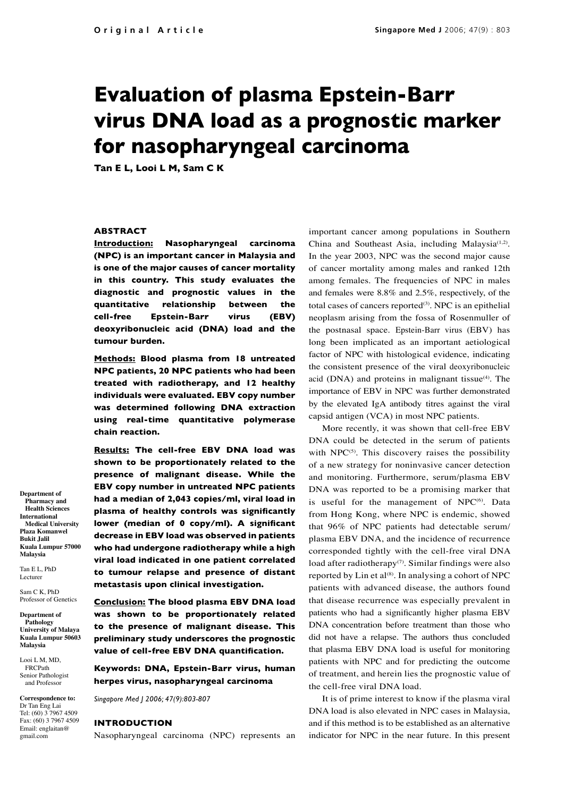# **Evaluation of plasma Epstein-Barr virus DNA load as a prognostic marker for nasopharyngeal carcinoma**

**Tan E L, Looi L M, Sam C K**

## **ABSTRACT**

**Introduction: Nasopharyngeal carcinoma (NPC) is an important cancer in Malaysia and is one of the major causes of cancer mortality in this country. This study evaluates the diagnostic and prognostic values in the quantitative relationship between the cell-free Epstein-Barr virus (EBV) deoxyribonucleic acid (DNA) load and the tumour burden.**

**Methods: Blood plasma from 18 untreated NPC patients, 20 NPC patients who had been treated with radiotherapy, and 12 healthy individuals were evaluated. EBV copy number was determined following DNA extraction using real-time quantitative polymerase chain reaction.**

**Results: The cell-free EBV DNA load was shown to be proportionately related to the presence of malignant disease. While the EBV copy number in untreated NPC patients had a median of 2,043 copies/ml, viral load in plasma of healthy controls was significantly lower (median of 0 copy/ml). A significant decrease in EBV load was observed in patients who had undergone radiotherapy while a high viral load indicated in one patient correlated to tumour relapse and presence of distant metastasis upon clinical investigation.**

**Conclusion: The blood plasma EBV DNA load was shown to be proportionately related to the presence of malignant disease. This preliminary study underscores the prognostic value of cell-free EBV DNA quantification.** 

**Keywords: DNA, Epstein-Barr virus, human herpes virus, nasopharyngeal carcinoma**

*Singapore Med J 2006; 47(9):803-807*

#### **INTRODUCTION**

Nasopharyngeal carcinoma (NPC) represents an

important cancer among populations in Southern China and Southeast Asia, including Malaysia<sup>(1,2)</sup>. In the year 2003, NPC was the second major cause of cancer mortality among males and ranked 12th among females. The frequencies of NPC in males and females were 8.8% and 2.5%, respectively, of the total cases of cancers reported $(3)$ . NPC is an epithelial neoplasm arising from the fossa of Rosenmuller of the postnasal space. Epstein-Barr virus (EBV) has long been implicated as an important aetiological factor of NPC with histological evidence, indicating the consistent presence of the viral deoxyribonucleic acid (DNA) and proteins in malignant tissue $(4)$ . The importance of EBV in NPC was further demonstrated by the elevated IgA antibody titres against the viral capsid antigen (VCA) in most NPC patients.

More recently, it was shown that cell-free EBV DNA could be detected in the serum of patients with  $NPC^{(5)}$ . This discovery raises the possibility of a new strategy for noninvasive cancer detection and monitoring. Furthermore, serum/plasma EBV DNA was reported to be a promising marker that is useful for the management of NPC<sup>(6)</sup>. Data from Hong Kong, where NPC is endemic, showed that 96% of NPC patients had detectable serum/ plasma EBV DNA, and the incidence of recurrence corresponded tightly with the cell-free viral DNA load after radiotherapy $(7)$ . Similar findings were also reported by Lin et al<sup>(8)</sup>. In analysing a cohort of NPC patients with advanced disease, the authors found that disease recurrence was especially prevalent in patients who had a significantly higher plasma EBV DNA concentration before treatment than those who did not have a relapse. The authors thus concluded that plasma EBV DNA load is useful for monitoring patients with NPC and for predicting the outcome of treatment, and herein lies the prognostic value of the cell-free viral DNA load.

It is of prime interest to know if the plasma viral DNA load is also elevated in NPC cases in Malaysia, and if this method is to be established as an alternative indicator for NPC in the near future. In this present

**Department of Pharmacy and Health Sciences International Medical University Plaza Komanwel Bukit Jalil Kuala Lumpur 57000 Malaysia**

Sam C K, PhD Professor of Genetics

Tan E L, PhD Lecturer

**Department of Pathology University of Malaya Kuala Lumpur 50603 Malaysia**

Looi L M, MD, FRCPath Senior Pathologist and Professor

**Correspondence to:** Dr Tan Eng Lai Tel: (60) 3 7967 4509 Fax: (60) 3 7967 4509 Email: englaitan@ gmail.com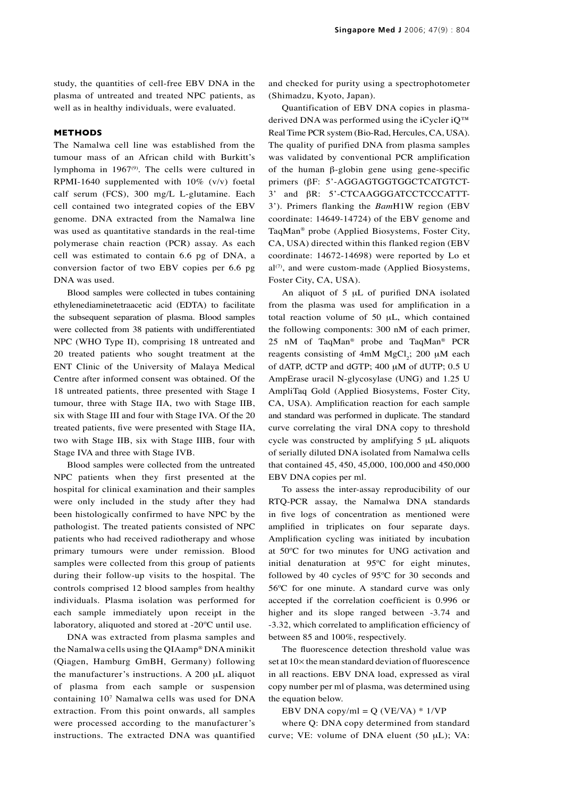study, the quantities of cell-free EBV DNA in the plasma of untreated and treated NPC patients, as well as in healthy individuals, were evaluated.

## **METHODS**

The Namalwa cell line was established from the tumour mass of an African child with Burkitt's lymphoma in 1967<sup>(9)</sup>. The cells were cultured in RPMI-1640 supplemented with 10% (v/v) foetal calf serum (FCS), 300 mg/L L-glutamine. Each cell contained two integrated copies of the EBV genome. DNA extracted from the Namalwa line was used as quantitative standards in the real-time polymerase chain reaction (PCR) assay. As each cell was estimated to contain 6.6 pg of DNA, a conversion factor of two EBV copies per 6.6 pg DNA was used.

Blood samples were collected in tubes containing ethylenediaminetetraacetic acid (EDTA) to facilitate the subsequent separation of plasma. Blood samples were collected from 38 patients with undifferentiated NPC (WHO Type II), comprising 18 untreated and 20 treated patients who sought treatment at the ENT Clinic of the University of Malaya Medical Centre after informed consent was obtained. Of the 18 untreated patients, three presented with Stage I tumour, three with Stage IIA, two with Stage IIB, six with Stage III and four with Stage IVA. Of the 20 treated patients, five were presented with Stage IIA, two with Stage IIB, six with Stage IIIB, four with Stage IVA and three with Stage IVB.

Blood samples were collected from the untreated NPC patients when they first presented at the hospital for clinical examination and their samples were only included in the study after they had been histologically confirmed to have NPC by the pathologist. The treated patients consisted of NPC patients who had received radiotherapy and whose primary tumours were under remission. Blood samples were collected from this group of patients during their follow-up visits to the hospital. The controls comprised 12 blood samples from healthy individuals. Plasma isolation was performed for each sample immediately upon receipt in the laboratory, aliquoted and stored at -20ºC until use.

DNA was extracted from plasma samples and the Namalwa cells using the QIAamp® DNA minikit (Qiagen, Hamburg GmBH, Germany) following the manufacturer's instructions. A 200 μL aliquot of plasma from each sample or suspension containing 107 Namalwa cells was used for DNA extraction. From this point onwards, all samples were processed according to the manufacturer's instructions. The extracted DNA was quantified

and checked for purity using a spectrophotometer (Shimadzu, Kyoto, Japan).

Quantification of EBV DNA copies in plasmaderived DNA was performed using the iCycler iQ<sup>™</sup> Real Time PCR system (Bio-Rad, Hercules, CA, USA). The quality of purified DNA from plasma samples was validated by conventional PCR amplification of the human β-globin gene using gene-specific primers (βF: 5'-AGGAGTGGTGGCTCATGTCT-3' and βR: 5'-CTCAAGGGATCCTCCCATTT-3'). Primers flanking the *Bam*H1W region (EBV coordinate: 14649-14724) of the EBV genome and TaqMan® probe (Applied Biosystems, Foster City, CA, USA) directed within this flanked region (EBV coordinate: 14672-14698) were reported by Lo et  $al^{(7)}$ , and were custom-made (Applied Biosystems, Foster City, CA, USA).

An aliquot of 5 μL of purified DNA isolated from the plasma was used for amplification in a total reaction volume of 50 μL, which contained the following components: 300 nM of each primer, 25 nM of TaqMan® probe and TaqMan® PCR reagents consisting of  $4mM MgCl<sub>2</sub>$ ; 200  $\mu$ M each of dATP, dCTP and dGTP; 400 μM of dUTP; 0.5 U AmpErase uracil N-glycosylase (UNG) and 1.25 U AmpliTaq Gold (Applied Biosystems, Foster City, CA, USA). Amplification reaction for each sample and standard was performed in duplicate. The standard curve correlating the viral DNA copy to threshold cycle was constructed by amplifying 5 μL aliquots of serially diluted DNA isolated from Namalwa cells that contained 45, 450, 45,000, 100,000 and 450,000 EBV DNA copies per ml.

To assess the inter-assay reproducibility of our RTQ-PCR assay, the Namalwa DNA standards in five logs of concentration as mentioned were amplified in triplicates on four separate days. Amplification cycling was initiated by incubation at 50ºC for two minutes for UNG activation and initial denaturation at 95ºC for eight minutes, followed by 40 cycles of 95ºC for 30 seconds and 56ºC for one minute. A standard curve was only accepted if the correlation coefficient is 0.996 or higher and its slope ranged between -3.74 and -3.32, which correlated to amplification efficiency of between 85 and 100%, respectively.

The fluorescence detection threshold value was set at  $10\times$  the mean standard deviation of fluorescence in all reactions. EBV DNA load, expressed as viral copy number per ml of plasma, was determined using the equation below.

EBV DNA copy/ml =  $Q$  (VE/VA)  $*$  1/VP

where Q: DNA copy determined from standard curve; VE: volume of DNA eluent (50 μL); VA: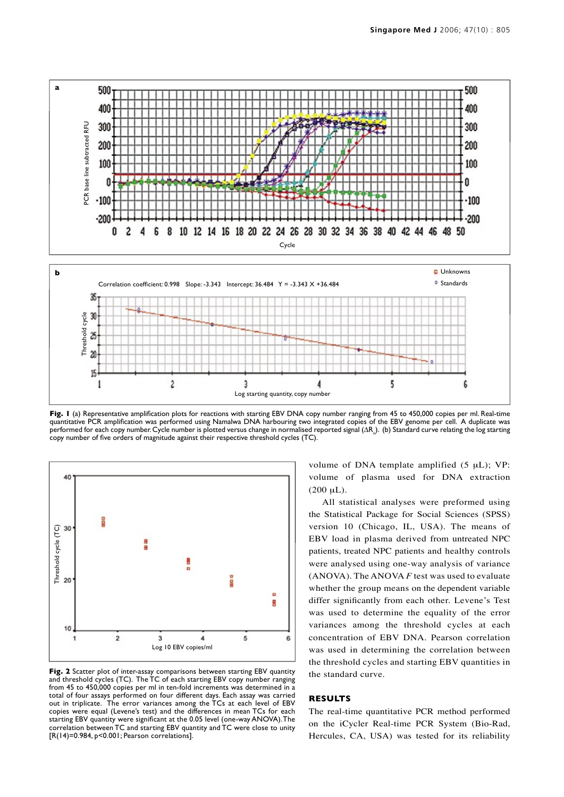

Fig. I (a) Representative amplification plots for reactions with starting EBV DNA copy number ranging from 45 to 450,000 copies per ml. Real-time quantitative PCR amplification was performed using Namalwa DNA harbouring two integrated copies of the EBV genome per cell. A duplicate was performed for each copy number. Cycle number is plotted versus change in normalised reported signal ( $\Delta R_n$ ). (b) Standard curve relating the log starting copy number of five orders of magnitude against their respective threshold cycles (TC).



Fig. 2 Scatter plot of inter-assay comparisons between starting EBV quantity and threshold cycles (TC). The TC of each starting EBV copy number ranging from 45 to 450,000 copies per ml in ten-fold increments was determined in a total of four assays performed on four different days. Each assay was carried out in triplicate. The error variances among the TCs at each level of EBV copies were equal (Levene's test) and the differences in mean TCs for each starting EBV quantity were significant at the 0.05 level (one-way ANOVA). The correlation between TC and starting EBV quantity and TC were close to unity

volume of DNA template amplified (5 μL); VP: volume of plasma used for DNA extraction  $(200 \mu L).$ 

All statistical analyses were preformed using the Statistical Package for Social Sciences (SPSS) version 10 (Chicago, IL, USA). The means of EBV load in plasma derived from untreated NPC patients, treated NPC patients and healthy controls were analysed using one-way analysis of variance (ANOVA). The ANOVA *F* test was used to evaluate whether the group means on the dependent variable differ significantly from each other. Levene's Test was used to determine the equality of the error variances among the threshold cycles at each concentration of EBV DNA. Pearson correlation was used in determining the correlation between the threshold cycles and starting EBV quantities in the standard curve.

# **RESULTS**

The real-time quantitative PCR method performed on the iCycler Real-time PCR System (Bio-Rad, Hercules, CA, USA) was tested for its reliability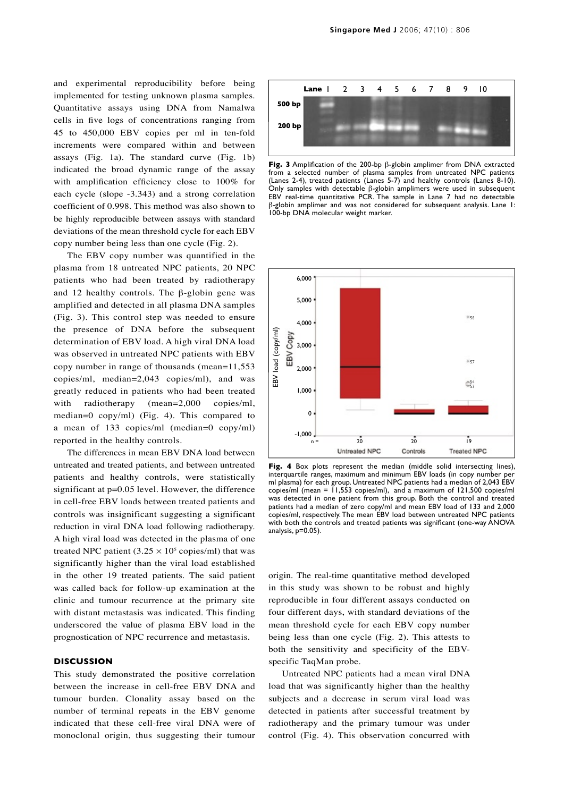and experimental reproducibility before being implemented for testing unknown plasma samples. Quantitative assays using DNA from Namalwa cells in five logs of concentrations ranging from 45 to 450,000 EBV copies per ml in ten-fold increments were compared within and between assays (Fig. 1a). The standard curve (Fig. 1b) indicated the broad dynamic range of the assay with amplification efficiency close to 100% for each cycle (slope -3.343) and a strong correlation coefficient of 0.998. This method was also shown to be highly reproducible between assays with standard deviations of the mean threshold cycle for each EBV copy number being less than one cycle (Fig. 2).

The EBV copy number was quantified in the plasma from 18 untreated NPC patients, 20 NPC patients who had been treated by radiotherapy and 12 healthy controls. The  $\beta$ -globin gene was amplified and detected in all plasma DNA samples (Fig. 3). This control step was needed to ensure the presence of DNA before the subsequent determination of EBV load. A high viral DNA load was observed in untreated NPC patients with EBV copy number in range of thousands (mean=11,553 copies/ml, median=2,043 copies/ml), and was greatly reduced in patients who had been treated with radiotherapy (mean=2,000 copies/ml, median=0 copy/ml) (Fig. 4). This compared to a mean of 133 copies/ml (median=0 copy/ml) reported in the healthy controls.

The differences in mean EBV DNA load between untreated and treated patients, and between untreated patients and healthy controls, were statistically significant at p=0.05 level. However, the difference in cell-free EBV loads between treated patients and controls was insignificant suggesting a significant reduction in viral DNA load following radiotherapy. A high viral load was detected in the plasma of one treated NPC patient  $(3.25 \times 10^5 \text{ copies/ml})$  that was significantly higher than the viral load established in the other 19 treated patients. The said patient was called back for follow-up examination at the clinic and tumour recurrence at the primary site with distant metastasis was indicated. This finding underscored the value of plasma EBV load in the prognostication of NPC recurrence and metastasis.

#### **DISCUSSION**

This study demonstrated the positive correlation between the increase in cell-free EBV DNA and tumour burden. Clonality assay based on the number of terminal repeats in the EBV genome indicated that these cell-free viral DNA were of monoclonal origin, thus suggesting their tumour



**Fig. 3** Amplification of the 200-bp β-globin amplimer from DNA extracted from a selected number of plasma samples from untreated NPC patients (Lanes 2-4), treated patients (Lanes 5-7) and healthy controls (Lanes 8-10). Only samples with detectable β-globin amplimers were used in subsequent EBV real-time quantitative PCR. The sample in Lane 7 had no detectable β-globin amplimer and was not considered for subsequent analysis. Lane 1: 100-bp DNA molecular weight marker.



Fig. 4 Box plots represent the median (middle solid intersecting lines), interquartile ranges, maximum and minimum EBV loads (in copy number per ml plasma) for each group. Untreated NPC patients had a median of 2,043 EBV copies/ml (mean =  $1,553$  copies/ml), and a maximum of 121,500 copies/ml was detected in one patient from this group. Both the control and treated patients had a median of zero copy/ml and mean EBV load of 133 and 2,000 copies/ml, respectively. The mean EBV load between untreated NPC patients with both the controls and treated patients was significant (one-way ANOVA<br>analysis.p=0.05).

origin. The real-time quantitative method developed in this study was shown to be robust and highly reproducible in four different assays conducted on four different days, with standard deviations of the mean threshold cycle for each EBV copy number being less than one cycle (Fig. 2). This attests to both the sensitivity and specificity of the EBVspecific TaqMan probe.

Untreated NPC patients had a mean viral DNA load that was significantly higher than the healthy subjects and a decrease in serum viral load was detected in patients after successful treatment by radiotherapy and the primary tumour was under control (Fig. 4). This observation concurred with